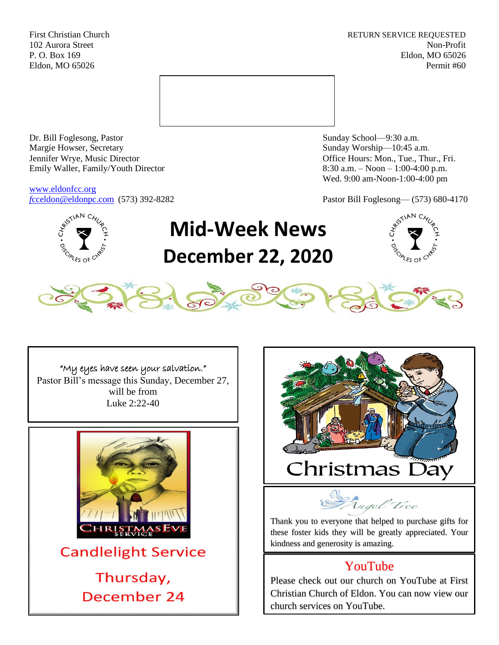First Christian Church **RETURN SERVICE REQUESTED** 102 Aurora Street Non-Profit P. O. Box 169 Eldon, MO 65026 Eldon, MO 65026 Permit #60



Dr. Bill Foglesong, Pastor Sunday School—9:30 a.m. Margie Howser, Secretary Sunday Worship—10:45 a.m. Jennifer Wrye, Music Director Office Hours: Mon., Tue., Thur., Fri. Emily Waller, Family/Youth Director 8:30 a.m. – Noon – 1:00-4:00 p.m.

[www.eldonfcc.org](http://www.eldonfcc.org/)

Wed. 9:00 am-Noon-1:00-4:00 pm

*f*[cceldon@eldonpc.com](mailto:fcceldon@eldonpc.com) (573) 392-8282 Pastor Bill Foglesong— (573) 680-4170



# **Mid-Week News December 22, 2020**





"My eyes have seen your salvation." Pastor Bill's message this Sunday, December 27, will be from Luke 2:22-40





Thank you to everyone that helped to purchase gifts for these foster kids they will be greatly appreciated. Your kindness and generosity is amazing.

# YouTube

Please check out our church on YouTube at First Christian Church of Eldon. You can now view our church services on YouTube.